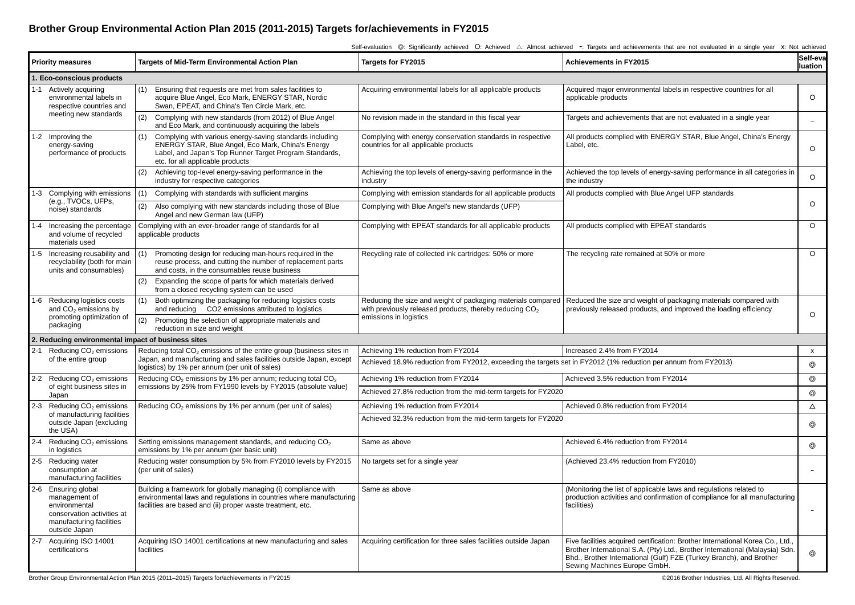## **Brother Group Environmental Action Plan 2015 (2011-2015) Targets for/achievements in FY2015**

|                                                    | Self-evaluation ©: Significantly achieved O: Achieved △: Almost achieved -: Targets and achievements that are not evaluated in a single year X: Not achieved |                                                                                                                                                                                                                     |                                                                                                                                                     |                                                                                                                                                                                                                                                                       |                           |  |  |  |  |  |
|----------------------------------------------------|--------------------------------------------------------------------------------------------------------------------------------------------------------------|---------------------------------------------------------------------------------------------------------------------------------------------------------------------------------------------------------------------|-----------------------------------------------------------------------------------------------------------------------------------------------------|-----------------------------------------------------------------------------------------------------------------------------------------------------------------------------------------------------------------------------------------------------------------------|---------------------------|--|--|--|--|--|
|                                                    | <b>Priority measures</b>                                                                                                                                     | Targets of Mid-Term Environmental Action Plan                                                                                                                                                                       | Targets for FY2015                                                                                                                                  | Achievements in FY2015                                                                                                                                                                                                                                                | Self-eva<br>luation       |  |  |  |  |  |
|                                                    | . Eco-conscious products                                                                                                                                     |                                                                                                                                                                                                                     |                                                                                                                                                     |                                                                                                                                                                                                                                                                       |                           |  |  |  |  |  |
|                                                    | 1-1 Actively acquiring<br>environmental labels in<br>respective countries and<br>meeting new standards                                                       | (1)<br>Ensuring that requests are met from sales facilities to<br>acquire Blue Angel, Eco Mark, ENERGY STAR, Nordic<br>Swan, EPEAT, and China's Ten Circle Mark, etc.                                               | Acquiring environmental labels for all applicable products                                                                                          | Acquired major environmental labels in respective countries for all<br>applicable products                                                                                                                                                                            | $\circ$                   |  |  |  |  |  |
|                                                    |                                                                                                                                                              | (2)<br>Complying with new standards (from 2012) of Blue Angel<br>and Eco Mark, and continuously acquiring the labels                                                                                                | No revision made in the standard in this fiscal year                                                                                                | Targets and achievements that are not evaluated in a single year                                                                                                                                                                                                      | $\overline{a}$            |  |  |  |  |  |
|                                                    | 1-2 Improving the<br>energy-saving<br>performance of products                                                                                                | Complying with various energy-saving standards including<br>(1)<br>ENERGY STAR, Blue Angel, Eco Mark, China's Energy<br>Label, and Japan's Top Runner Target Program Standards,<br>etc. for all applicable products | Complying with energy conservation standards in respective<br>countries for all applicable products                                                 | All products complied with ENERGY STAR, Blue Angel, China's Energy<br>Label, etc.                                                                                                                                                                                     | $\circ$                   |  |  |  |  |  |
|                                                    |                                                                                                                                                              | Achieving top-level energy-saving performance in the<br>(2)<br>industry for respective categories                                                                                                                   | Achieving the top levels of energy-saving performance in the<br>industry                                                                            | Achieved the top levels of energy-saving performance in all categories in<br>the industry                                                                                                                                                                             | $\circ$                   |  |  |  |  |  |
|                                                    | 1-3 Complying with emissions<br>(e.g., TVOCs, UFPs,<br>noise) standards                                                                                      | Complying with standards with sufficient margins<br>(1)                                                                                                                                                             | Complying with emission standards for all applicable products                                                                                       | All products complied with Blue Angel UFP standards                                                                                                                                                                                                                   |                           |  |  |  |  |  |
|                                                    |                                                                                                                                                              | Also complying with new standards including those of Blue<br>(2)<br>Angel and new German law (UFP)                                                                                                                  | Complying with Blue Angel's new standards (UFP)                                                                                                     |                                                                                                                                                                                                                                                                       | $\circ$                   |  |  |  |  |  |
|                                                    | 1-4 Increasing the percentage<br>and volume of recycled<br>materials used                                                                                    | Complying with an ever-broader range of standards for all<br>applicable products                                                                                                                                    | Complying with EPEAT standards for all applicable products                                                                                          | All products complied with EPEAT standards                                                                                                                                                                                                                            | $\circ$                   |  |  |  |  |  |
|                                                    | 1-5 Increasing reusability and<br>recyclability (both for main<br>units and consumables)                                                                     | Promoting design for reducing man-hours required in the<br>(1)<br>reuse process, and cutting the number of replacement parts<br>and costs, in the consumables reuse business                                        | Recycling rate of collected ink cartridges: 50% or more                                                                                             | The recycling rate remained at 50% or more                                                                                                                                                                                                                            | $\circ$                   |  |  |  |  |  |
|                                                    |                                                                                                                                                              | Expanding the scope of parts for which materials derived<br>(2)<br>from a closed recycling system can be used                                                                                                       |                                                                                                                                                     |                                                                                                                                                                                                                                                                       |                           |  |  |  |  |  |
|                                                    | 1-6 Reducing logistics costs<br>and CO <sub>2</sub> emissions by<br>promoting optimization of<br>packaging                                                   | (1)<br>Both optimizing the packaging for reducing logistics costs<br>and reducing CO2 emissions attributed to logistics                                                                                             | Reducing the size and weight of packaging materials compared<br>with previously released products, thereby reducing $CO2$<br>emissions in logistics | Reduced the size and weight of packaging materials compared with<br>previously released products, and improved the loading efficiency                                                                                                                                 | $\circ$                   |  |  |  |  |  |
|                                                    |                                                                                                                                                              | (2)<br>Promoting the selection of appropriate materials and<br>reduction in size and weight                                                                                                                         |                                                                                                                                                     |                                                                                                                                                                                                                                                                       |                           |  |  |  |  |  |
| 2. Reducing environmental impact of business sites |                                                                                                                                                              |                                                                                                                                                                                                                     |                                                                                                                                                     |                                                                                                                                                                                                                                                                       |                           |  |  |  |  |  |
| $2 - 1$                                            | Reducing CO <sub>2</sub> emissions<br>of the entire group                                                                                                    | Reducing total CO <sub>2</sub> emissions of the entire group (business sites in<br>Japan, and manufacturing and sales facilities outside Japan, except<br>logistics) by 1% per annum (per unit of sales)            | Achieving 1% reduction from FY2014<br>Increased 2.4% from FY2014                                                                                    |                                                                                                                                                                                                                                                                       | $\boldsymbol{\mathsf{x}}$ |  |  |  |  |  |
|                                                    |                                                                                                                                                              |                                                                                                                                                                                                                     | Achieved 18.9% reduction from FY2012, exceeding the targets set in FY2012 (1% reduction per annum from FY2013)                                      |                                                                                                                                                                                                                                                                       | $\circledcirc$            |  |  |  |  |  |
|                                                    | 2-2 Reducing CO <sub>2</sub> emissions<br>of eight business sites in<br>Japan                                                                                | Reducing CO <sub>2</sub> emissions by 1% per annum; reducing total CO <sub>2</sub><br>emissions by 25% from FY1990 levels by FY2015 (absolute value)                                                                | Achieving 1% reduction from FY2014                                                                                                                  | Achieved 3.5% reduction from FY2014                                                                                                                                                                                                                                   | $\circledcirc$            |  |  |  |  |  |
|                                                    |                                                                                                                                                              |                                                                                                                                                                                                                     | Achieved 27.8% reduction from the mid-term targets for FY2020                                                                                       |                                                                                                                                                                                                                                                                       | $\circledcirc$            |  |  |  |  |  |
|                                                    | 2-3 Reducing CO <sub>2</sub> emissions<br>of manufacturing facilities<br>outside Japan (excluding<br>the USA)                                                | Reducing CO <sub>2</sub> emissions by 1% per annum (per unit of sales)                                                                                                                                              | Achieving 1% reduction from FY2014                                                                                                                  | Achieved 0.8% reduction from FY2014                                                                                                                                                                                                                                   | $\Delta$                  |  |  |  |  |  |
|                                                    |                                                                                                                                                              |                                                                                                                                                                                                                     | Achieved 32.3% reduction from the mid-term targets for FY2020                                                                                       |                                                                                                                                                                                                                                                                       | $\circledcirc$            |  |  |  |  |  |
|                                                    | 2-4 Reducing CO <sub>2</sub> emissions<br>in logistics                                                                                                       | Setting emissions management standards, and reducing CO <sub>2</sub><br>emissions by 1% per annum (per basic unit)                                                                                                  | Same as above                                                                                                                                       | Achieved 6.4% reduction from FY2014                                                                                                                                                                                                                                   | $\circledcirc$            |  |  |  |  |  |
|                                                    | 2-5 Reducing water<br>consumption at<br>manufacturing facilities                                                                                             | Reducing water consumption by 5% from FY2010 levels by FY2015<br>(per unit of sales)                                                                                                                                | No targets set for a single year                                                                                                                    | (Achieved 23.4% reduction from FY2010)                                                                                                                                                                                                                                | $\overline{\phantom{0}}$  |  |  |  |  |  |
|                                                    | 2-6 Ensuring global<br>management of<br>environmental<br>conservation activities at<br>manufacturing facilities<br>outside Japan                             | Building a framework for globally managing (i) compliance with<br>environmental laws and regulations in countries where manufacturing<br>facilities are based and (ii) proper waste treatment, etc.                 | Same as above                                                                                                                                       | (Monitoring the list of applicable laws and regulations related to<br>production activities and confirmation of compliance for all manufacturing<br>facilities)                                                                                                       |                           |  |  |  |  |  |
|                                                    | 2-7 Acquiring ISO 14001<br>certifications                                                                                                                    | Acquiring ISO 14001 certifications at new manufacturing and sales<br>facilities                                                                                                                                     | Acquiring certification for three sales facilities outside Japan                                                                                    | Five facilities acquired certification: Brother International Korea Co., Ltd.,<br>Brother International S.A. (Pty) Ltd., Brother International (Malaysia) Sdn.<br>Bhd., Brother International (Gulf) FZE (Turkey Branch), and Brother<br>Sewing Machines Europe GmbH. | $\circledcirc$            |  |  |  |  |  |